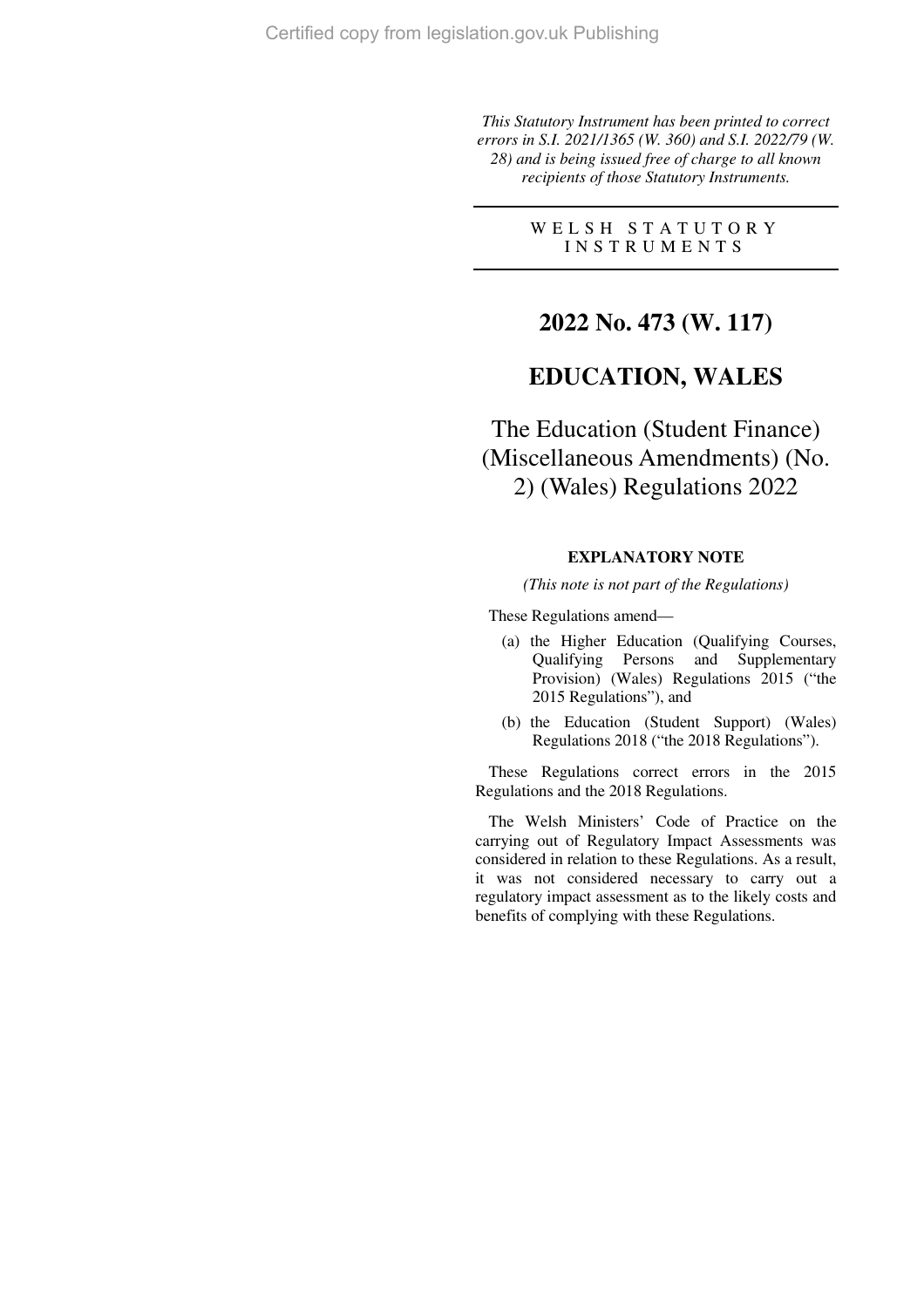*This Statutory Instrument has been printed to correct errors in S.I. 2021/1365 (W. 360) and S.I. 2022/79 (W. 28) and is being issued free of charge to all known recipients of those Statutory Instruments.* 

> W E L S H S T A T U T O R Y I N S T R U M E N T S

## **2022 No. 473 (W. 117)**

## **EDUCATION, WALES**

The Education (Student Finance) (Miscellaneous Amendments) (No. 2) (Wales) Regulations 2022

### **EXPLANATORY NOTE**

*(This note is not part of the Regulations)* 

These Regulations amend—

- (a) the Higher Education (Qualifying Courses, Qualifying Persons and Supplementary Provision) (Wales) Regulations 2015 ("the 2015 Regulations"), and
- (b) the Education (Student Support) (Wales) Regulations 2018 ("the 2018 Regulations").

These Regulations correct errors in the 2015 Regulations and the 2018 Regulations.

The Welsh Ministers' Code of Practice on the carrying out of Regulatory Impact Assessments was considered in relation to these Regulations. As a result, it was not considered necessary to carry out a regulatory impact assessment as to the likely costs and benefits of complying with these Regulations.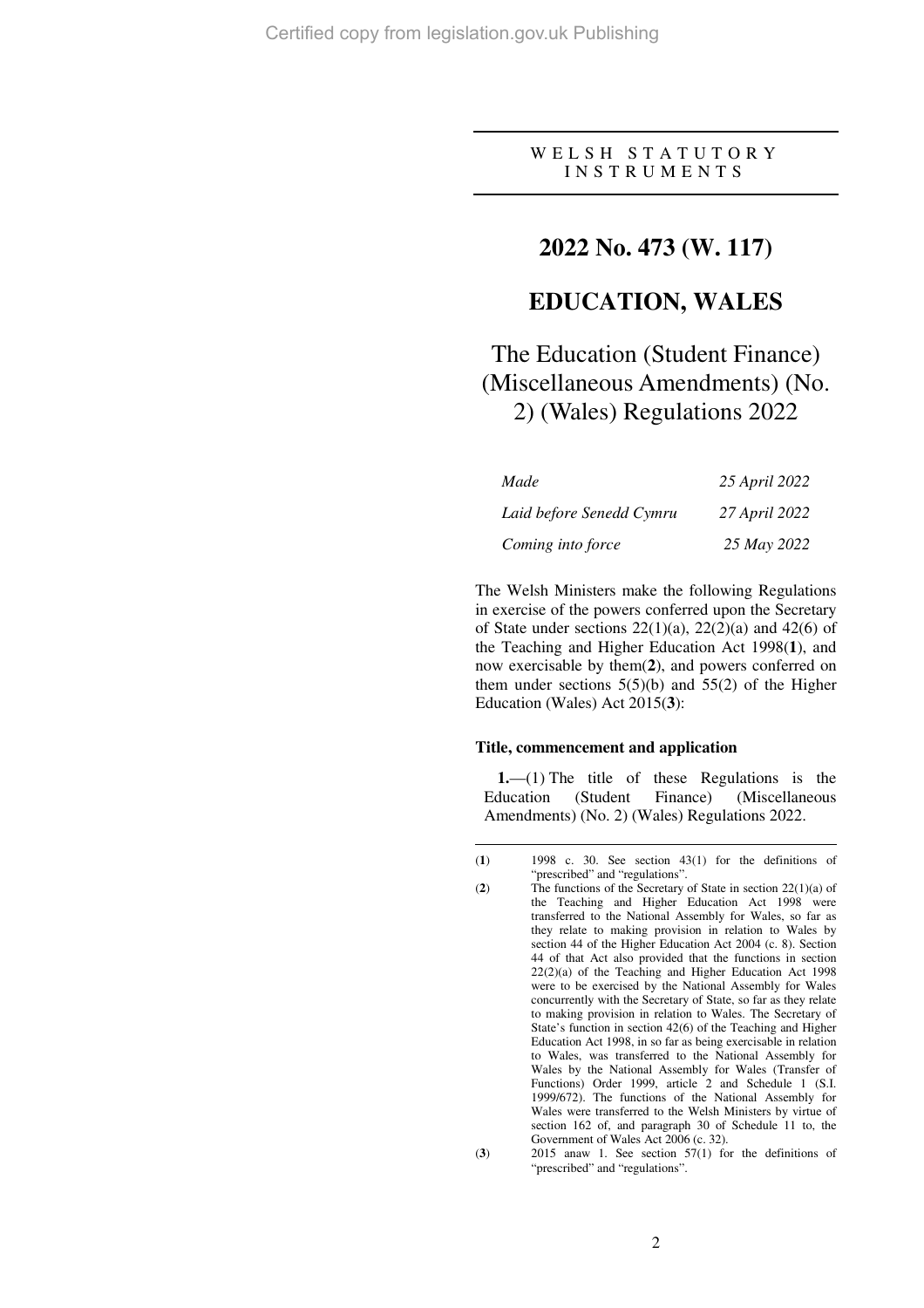W E L S H S T A T U T O R Y I N S T R U M E N T S

## **2022 No. 473 (W. 117)**

## **EDUCATION, WALES**

# The Education (Student Finance) (Miscellaneous Amendments) (No. 2) (Wales) Regulations 2022

| Made                     | 25 April 2022 |
|--------------------------|---------------|
| Laid before Senedd Cymru | 27 April 2022 |
| Coming into force        | 25 May 2022   |

The Welsh Ministers make the following Regulations in exercise of the powers conferred upon the Secretary of State under sections  $22(1)(a)$ ,  $22(2)(a)$  and  $42(6)$  of the Teaching and Higher Education Act 1998(**1**), and now exercisable by them(**2**), and powers conferred on them under sections  $5(5)(b)$  and  $55(2)$  of the Higher Education (Wales) Act 2015(**3**):

### **Title, commencement and application**

**1.**—(1) The title of these Regulations is the Education (Student Finance) (Miscellaneous Amendments) (No. 2) (Wales) Regulations 2022.

 $\overline{a}$ 

<sup>(</sup>**1**) 1998 c. 30. See section 43(1) for the definitions of "prescribed" and "regulations".

<sup>(</sup>**2**) The functions of the Secretary of State in section 22(1)(a) of the Teaching and Higher Education Act 1998 were transferred to the National Assembly for Wales, so far as they relate to making provision in relation to Wales by section 44 of the Higher Education Act 2004 (c. 8). Section 44 of that Act also provided that the functions in section 22(2)(a) of the Teaching and Higher Education Act 1998 were to be exercised by the National Assembly for Wales concurrently with the Secretary of State, so far as they relate to making provision in relation to Wales. The Secretary of State's function in section 42(6) of the Teaching and Higher Education Act 1998, in so far as being exercisable in relation to Wales, was transferred to the National Assembly for Wales by the National Assembly for Wales (Transfer of Functions) Order 1999, article 2 and Schedule 1 (S.I. 1999/672). The functions of the National Assembly for Wales were transferred to the Welsh Ministers by virtue of section 162 of, and paragraph 30 of Schedule 11 to, the Government of Wales Act 2006 (c. 32).

<sup>(</sup>**3**) 2015 anaw 1. See section 57(1) for the definitions of "prescribed" and "regulations".